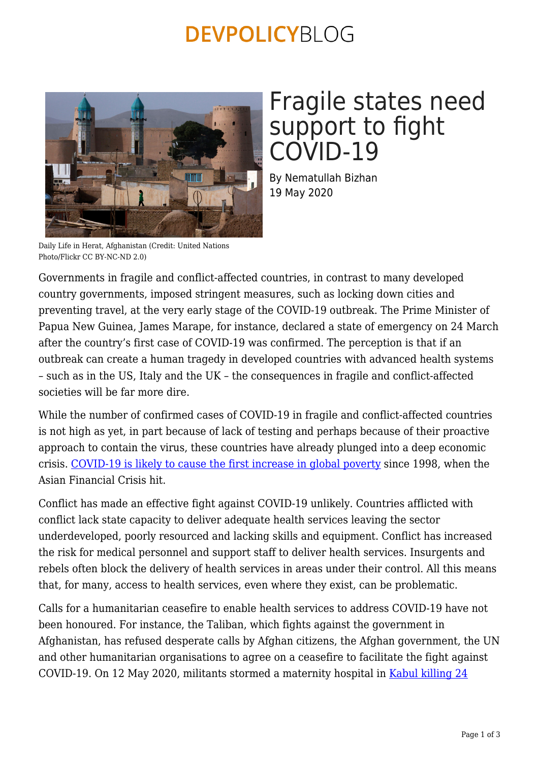### **DEVPOLICYBLOG**



## Fragile states need support to fight COVID-19

By Nematullah Bizhan 19 May 2020

Daily Life in Herat, Afghanistan (Credit: United Nations Photo/Flickr CC BY-NC-ND 2.0)

Governments in fragile and conflict-affected countries, in contrast to many developed country governments, imposed stringent measures, such as locking down cities and preventing travel, at the very early stage of the COVID-19 outbreak. The Prime Minister of Papua New Guinea, James Marape, for instance, declared a state of emergency on 24 March after the country's first case of COVID-19 was confirmed. The perception is that if an outbreak can create a human tragedy in developed countries with advanced health systems – such as in the US, Italy and the UK – the consequences in fragile and conflict-affected societies will be far more dire.

While the number of confirmed cases of COVID-19 in fragile and conflict-affected countries is not high as yet, in part because of lack of testing and perhaps because of their proactive approach to contain the virus, these countries have already plunged into a deep economic crisis. [COVID-19 is likely to cause the first increase in global poverty](https://blogs.worldbank.org/opendata/impact-covid-19-coronavirus-global-poverty-why-sub-saharan-africa-might-be-region-hardest) since 1998, when the Asian Financial Crisis hit.

Conflict has made an effective fight against COVID-19 unlikely. Countries afflicted with conflict lack state capacity to deliver adequate health services leaving the sector underdeveloped, poorly resourced and lacking skills and equipment. Conflict has increased the risk for medical personnel and support staff to deliver health services. Insurgents and rebels often block the delivery of health services in areas under their control. All this means that, for many, access to health services, even where they exist, can be problematic.

Calls for a humanitarian ceasefire to enable health services to address COVID-19 have not been honoured. For instance, the Taliban, which fights against the government in Afghanistan, has refused desperate calls by Afghan citizens, the Afghan government, the UN and other humanitarian organisations to agree on a ceasefire to facilitate the fight against COVID-19. On 12 May 2020, militants stormed a maternity hospital in [Kabul killing 24](https://www.bbc.com/persian/afghanistan-52646947)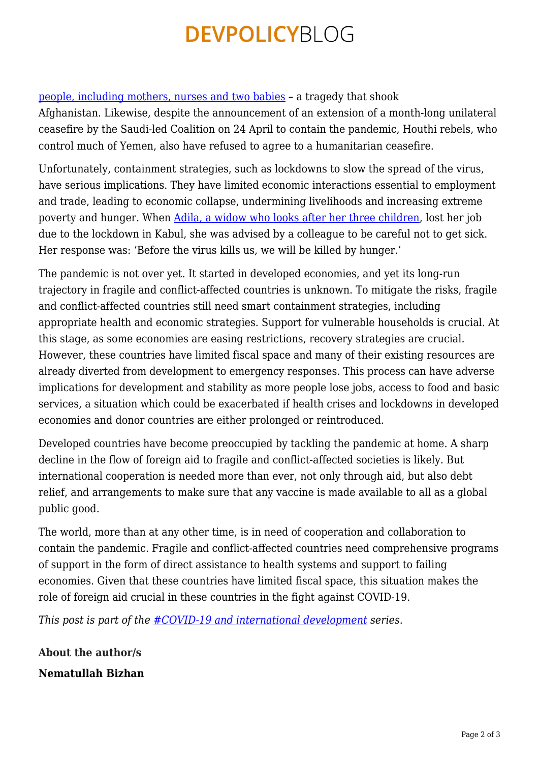## **DEVPOLICYBLOG**

#### [people, including mothers, nurses and two babies](https://www.bbc.com/persian/afghanistan-52646947) – a tragedy that shook

Afghanistan. Likewise, despite the announcement of an extension of a month-long unilateral ceasefire by the Saudi-led Coalition on 24 April to contain the pandemic, Houthi rebels, who control much of Yemen, also have refused to agree to a humanitarian ceasefire.

Unfortunately, containment strategies, such as lockdowns to slow the spread of the virus, have serious implications. They have limited economic interactions essential to employment and trade, leading to economic collapse, undermining livelihoods and increasing extreme poverty and hunger. When [Adila, a widow who looks after her three children,](https://www.bbc.com/persian/afghanistan-52530364) lost her job due to the lockdown in Kabul, she was advised by a colleague to be careful not to get sick. Her response was: 'Before the virus kills us, we will be killed by hunger.'

The pandemic is not over yet. It started in developed economies, and yet its long-run trajectory in fragile and conflict-affected countries is unknown. To mitigate the risks, fragile and conflict-affected countries still need smart containment strategies, including appropriate health and economic strategies. Support for vulnerable households is crucial. At this stage, as some economies are easing restrictions, recovery strategies are crucial. However, these countries have limited fiscal space and many of their existing resources are already diverted from development to emergency responses. This process can have adverse implications for development and stability as more people lose jobs, access to food and basic services, a situation which could be exacerbated if health crises and lockdowns in developed economies and donor countries are either prolonged or reintroduced.

Developed countries have become preoccupied by tackling the pandemic at home. A sharp decline in the flow of foreign aid to fragile and conflict-affected societies is likely. But international cooperation is needed more than ever, not only through aid, but also debt relief, and arrangements to make sure that any vaccine is made available to all as a global public good.

The world, more than at any other time, is in need of cooperation and collaboration to contain the pandemic. Fragile and conflict-affected countries need comprehensive programs of support in the form of direct assistance to health systems and support to failing economies. Given that these countries have limited fiscal space, this situation makes the role of foreign aid crucial in these countries in the fight against COVID-19.

*This post is part of the [#COVID-19 and international development](https://devpolicy.org/tag/covid-19-and-international-development/) series.*

**About the author/s Nematullah Bizhan**